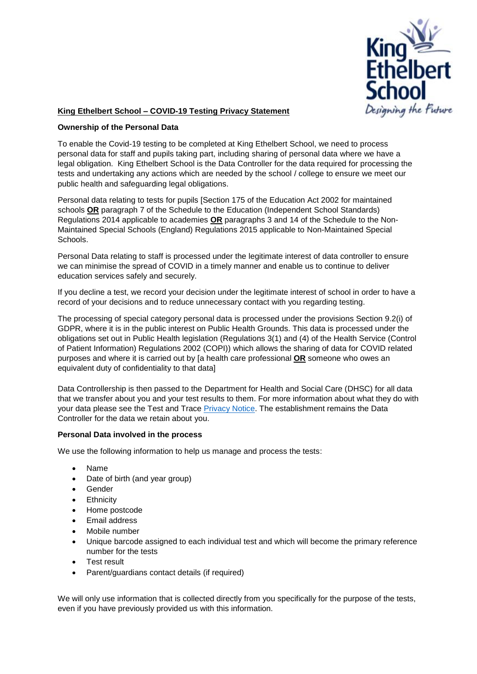

# **King Ethelbert School – COVID-19 Testing Privacy Statement**

### **Ownership of the Personal Data**

To enable the Covid-19 testing to be completed at King Ethelbert School, we need to process personal data for staff and pupils taking part, including sharing of personal data where we have a legal obligation. King Ethelbert School is the Data Controller for the data required for processing the tests and undertaking any actions which are needed by the school / college to ensure we meet our public health and safeguarding legal obligations.

Personal data relating to tests for pupils [Section 175 of the Education Act 2002 for maintained schools **OR** paragraph 7 of the Schedule to the Education (Independent School Standards) Regulations 2014 applicable to academies **OR** paragraphs 3 and 14 of the Schedule to the Non-Maintained Special Schools (England) Regulations 2015 applicable to Non-Maintained Special Schools.

Personal Data relating to staff is processed under the legitimate interest of data controller to ensure we can minimise the spread of COVID in a timely manner and enable us to continue to deliver education services safely and securely.

If you decline a test, we record your decision under the legitimate interest of school in order to have a record of your decisions and to reduce unnecessary contact with you regarding testing.

The processing of special category personal data is processed under the provisions Section 9.2(i) of GDPR, where it is in the public interest on Public Health Grounds. This data is processed under the obligations set out in Public Health legislation (Regulations 3(1) and (4) of the Health Service (Control of Patient Information) Regulations 2002 (COPI)) which allows the sharing of data for COVID related purposes and where it is carried out by [a health care professional **OR** someone who owes an equivalent duty of confidentiality to that data]

Data Controllership is then passed to the Department for Health and Social Care (DHSC) for all data that we transfer about you and your test results to them. For more information about what they do with your data please see the Test and Trace [Privacy Notice.](https://contact-tracing.phe.gov.uk/help/privacy-notice) The establishment remains the Data Controller for the data we retain about you.

#### **Personal Data involved in the process**

We use the following information to help us manage and process the tests:

- Name
- Date of birth (and year group)
- Gender
- Ethnicity
- Home postcode
- Email address
- Mobile number
- Unique barcode assigned to each individual test and which will become the primary reference number for the tests
- Test result
- Parent/guardians contact details (if required)

We will only use information that is collected directly from you specifically for the purpose of the tests, even if you have previously provided us with this information.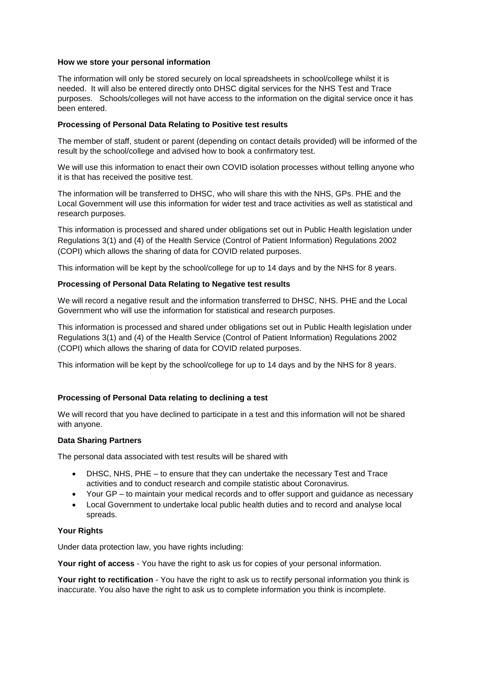#### **How we store your personal information**

The information will only be stored securely on local spreadsheets in school/college whilst it is needed. It will also be entered directly onto DHSC digital services for the NHS Test and Trace purposes. Schools/colleges will not have access to the information on the digital service once it has been entered.

### **Processing of Personal Data Relating to Positive test results**

The member of staff, student or parent (depending on contact details provided) will be informed of the result by the school/college and advised how to book a confirmatory test.

We will use this information to enact their own COVID isolation processes without telling anyone who it is that has received the positive test.

The information will be transferred to DHSC, who will share this with the NHS, GPs. PHE and the Local Government will use this information for wider test and trace activities as well as statistical and research purposes.

This information is processed and shared under obligations set out in Public Health legislation under Regulations 3(1) and (4) of the Health Service (Control of Patient Information) Regulations 2002 (COPI) which allows the sharing of data for COVID related purposes.

This information will be kept by the school/college for up to 14 days and by the NHS for 8 years.

## **Processing of Personal Data Relating to Negative test results**

We will record a negative result and the information transferred to DHSC, NHS. PHE and the Local Government who will use the information for statistical and research purposes.

This information is processed and shared under obligations set out in Public Health legislation under Regulations 3(1) and (4) of the Health Service (Control of Patient Information) Regulations 2002 (COPI) which allows the sharing of data for COVID related purposes.

This information will be kept by the school/college for up to 14 days and by the NHS for 8 years.

## **Processing of Personal Data relating to declining a test**

We will record that you have declined to participate in a test and this information will not be shared with anyone.

#### **Data Sharing Partners**

The personal data associated with test results will be shared with

- DHSC, NHS, PHE to ensure that they can undertake the necessary Test and Trace activities and to conduct research and compile statistic about Coronavirus.
- Your GP to maintain your medical records and to offer support and guidance as necessary
- Local Government to undertake local public health duties and to record and analyse local spreads.

## **Your Rights**

Under data protection law, you have rights including:

**Your right of access** - You have the right to ask us for copies of your personal information.

**Your right to rectification** - You have the right to ask us to rectify personal information you think is inaccurate. You also have the right to ask us to complete information you think is incomplete.